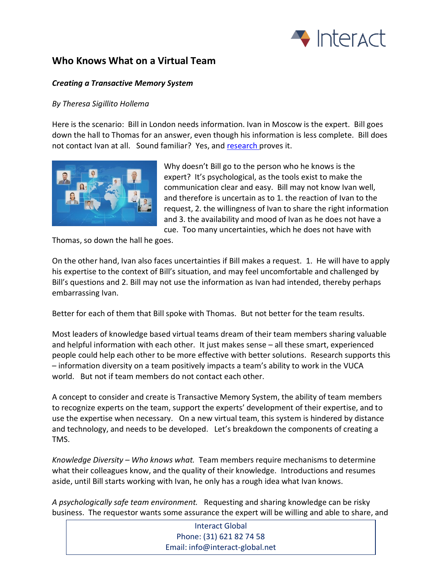

## **Who Knows What on a Virtual Team**

## *Creating a Transactive Memory System*

## *By Theresa Sigillito Hollema*

Here is the scenario: Bill in London needs information. Ivan in Moscow is the expert. Bill goes down the hall to Thomas for an answer, even though his information is less complete. Bill does not contact Ivan at all. Sound familiar? Yes, and [research p](https://asu.pure.elsevier.com/en/publications/collocation-blindness-in-partially-distributed-groups-is-there-a-)roves it.



Why doesn't Bill go to the person who he knows is the expert? It's psychological, as the tools exist to make the communication clear and easy. Bill may not know Ivan well, and therefore is uncertain as to 1. the reaction of Ivan to the request, 2. the willingness of Ivan to share the right information and 3. the availability and mood of Ivan as he does not have a cue. Too many uncertainties, which he does not have with

Thomas, so down the hall he goes.

On the other hand, Ivan also faces uncertainties if Bill makes a request. 1. He will have to apply his expertise to the context of Bill's situation, and may feel uncomfortable and challenged by Bill's questions and 2. Bill may not use the information as Ivan had intended, thereby perhaps embarrassing Ivan.

Better for each of them that Bill spoke with Thomas. But not better for the team results.

Most leaders of knowledge based virtual teams dream of their team members sharing valuable and helpful information with each other. It just makes sense – all these smart, experienced people could help each other to be more effective with better solutions. Research supports this – information diversity on a team positively impacts a team's ability to work in the VUCA world. But not if team members do not contact each other.

A concept to consider and create is Transactive Memory System, the ability of team members to recognize experts on the team, support the experts' development of their expertise, and to use the expertise when necessary. On a new virtual team, this system is hindered by distance and technology, and needs to be developed. Let's breakdown the components of creating a TMS.

*Knowledge Diversity – Who knows what.* Team members require mechanisms to determine what their colleagues know, and the quality of their knowledge. Introductions and resumes aside, until Bill starts working with Ivan, he only has a rough idea what Ivan knows.

*A psychologically safe team environment.* Requesting and sharing knowledge can be risky business. The requestor wants some assurance the expert will be willing and able to share, and

> Interact Global Phone: (31) 621 82 74 58 Email: info@interact-global.net